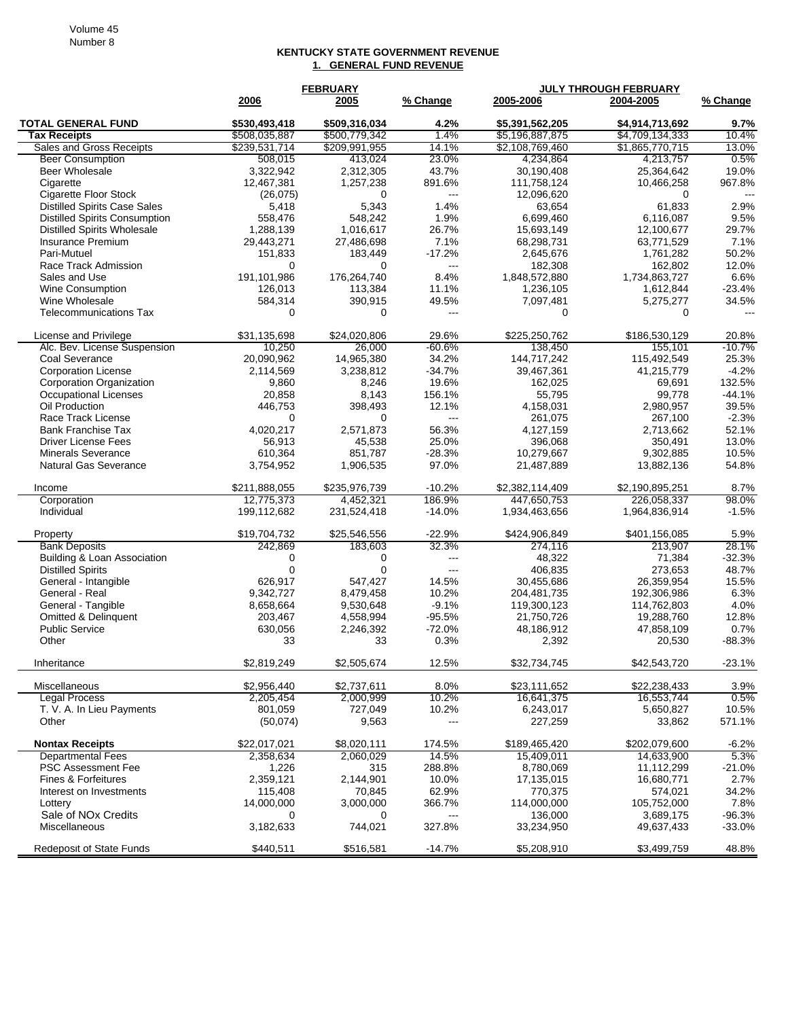## **KENTUCKY STATE GOVERNMENT REVENUE 1. GENERAL FUND REVENUE**

|                                                     | <b>FEBRUARY</b>  |                  |                          |                 | <b>JULY THROUGH FEBRUARY</b> |                   |
|-----------------------------------------------------|------------------|------------------|--------------------------|-----------------|------------------------------|-------------------|
|                                                     | 2006             | 2005             | % Change                 | 2005-2006       | 2004-2005                    | % Change          |
| <b>TOTAL GENERAL FUND</b>                           | \$530,493,418    | \$509,316,034    | 4.2%                     | \$5,391,562,205 | \$4,914,713,692              | 9.7%              |
| <b>Tax Receipts</b>                                 | \$508,035,887    | \$500,779,342    | 1.4%                     | \$5,196,887,875 | \$4,709,134,333              | 10.4%             |
| Sales and Gross Receipts                            | \$239,531,714    | \$209,991,955    | 14.1%                    | \$2,108,769,460 | \$1,865,770,715              | 13.0%             |
| <b>Beer Consumption</b>                             | 508,015          | 413,024          | 23.0%                    | 4,234,864       | 4,213,757                    | 0.5%              |
| <b>Beer Wholesale</b>                               | 3,322,942        | 2,312,305        | 43.7%                    | 30,190,408      | 25,364,642                   | 19.0%             |
| Cigarette                                           | 12,467,381       | 1,257,238        | 891.6%                   | 111,758,124     | 10,466,258                   | 967.8%            |
| <b>Cigarette Floor Stock</b>                        | (26, 075)        | 0                | $---$                    | 12,096,620      | $\Omega$                     | $\overline{a}$    |
| <b>Distilled Spirits Case Sales</b>                 | 5,418            | 5,343            | 1.4%                     | 63,654          | 61,833                       | 2.9%              |
| <b>Distilled Spirits Consumption</b>                | 558,476          | 548,242          | 1.9%                     | 6,699,460       | 6.116.087                    | 9.5%              |
| <b>Distilled Spirits Wholesale</b>                  | 1,288,139        | 1,016,617        | 26.7%                    | 15,693,149      | 12,100,677                   | 29.7%             |
| <b>Insurance Premium</b>                            | 29,443,271       | 27,486,698       | 7.1%                     | 68,298,731      | 63,771,529                   | 7.1%              |
| Pari-Mutuel                                         | 151,833          | 183,449          | $-17.2%$                 | 2,645,676       | 1,761,282                    | 50.2%             |
| Race Track Admission                                | $\Omega$         | $\Omega$         | $\overline{\phantom{a}}$ | 182,308         | 162,802                      | 12.0%             |
| Sales and Use                                       | 191,101,986      | 176,264,740      | 8.4%                     | 1,848,572,880   | 1,734,863,727                | 6.6%              |
| Wine Consumption                                    | 126,013          | 113,384          | 11.1%                    | 1,236,105       | 1,612,844                    | $-23.4%$          |
| Wine Wholesale                                      | 584,314          | 390,915          | 49.5%                    | 7,097,481       | 5,275,277                    | 34.5%             |
| <b>Telecommunications Tax</b>                       | $\mathbf 0$      | 0                | $---$                    | 0               | 0                            | $-$ --            |
|                                                     |                  |                  |                          |                 |                              |                   |
| License and Privilege                               | \$31.135.698     | \$24,020,806     | 29.6%                    | \$225,250,762   | \$186,530,129                | 20.8%             |
| Alc. Bev. License Suspension                        | 10,250           | 26,000           | $-60.6%$                 | 138,450         | 155,101                      | $-10.7%$          |
| Coal Severance                                      | 20,090,962       | 14,965,380       | 34.2%                    | 144,717,242     | 115,492,549                  | 25.3%             |
| <b>Corporation License</b>                          | 2,114,569        | 3,238,812        | $-34.7%$                 | 39,467,361      | 41,215,779                   | $-4.2%$           |
| Corporation Organization                            | 9,860            | 8,246            | 19.6%                    | 162,025         | 69,691                       | 132.5%            |
| <b>Occupational Licenses</b>                        | 20,858           | 8,143            | 156.1%                   | 55,795          | 99,778                       | $-44.1%$          |
| Oil Production                                      | 446,753          | 398,493          | 12.1%                    | 4,158,031       | 2,980,957                    | 39.5%             |
| Race Track License                                  | 0                | $\Omega$         | $\overline{a}$           | 261,075         | 267,100                      | $-2.3%$           |
| <b>Bank Franchise Tax</b>                           | 4,020,217        | 2,571,873        | 56.3%                    | 4,127,159       | 2,713,662                    | 52.1%             |
| <b>Driver License Fees</b>                          | 56,913           | 45,538           | 25.0%                    | 396,068         | 350,491                      | 13.0%             |
| <b>Minerals Severance</b>                           | 610,364          | 851,787          | $-28.3%$                 | 10,279,667      | 9,302,885                    | 10.5%             |
| <b>Natural Gas Severance</b>                        | 3,754,952        | 1,906,535        | 97.0%                    | 21,487,889      | 13,882,136                   | 54.8%             |
| Income                                              | \$211,888,055    | \$235,976,739    | $-10.2%$                 | \$2,382,114,409 | \$2,190,895,251              | 8.7%              |
| Corporation                                         | 12,775,373       | 4,452,321        | 186.9%                   | 447,650,753     | 226,058,337                  | 98.0%             |
| Individual                                          | 199,112,682      | 231,524,418      | $-14.0%$                 | 1,934,463,656   | 1,964,836,914                | $-1.5%$           |
|                                                     |                  |                  |                          |                 |                              |                   |
| Property                                            | \$19,704,732     | \$25,546,556     | $-22.9%$                 | \$424,906,849   | \$401,156,085                | 5.9%              |
| <b>Bank Deposits</b><br>Building & Loan Association | 242,869          | 183,603          | 32.3%<br>$\overline{a}$  | 274,116         | 213,907                      | 28.1%<br>$-32.3%$ |
|                                                     | 0<br>$\mathbf 0$ | 0<br>$\mathbf 0$ |                          | 48,322          | 71,384                       |                   |
| <b>Distilled Spirits</b>                            |                  |                  | $---$                    | 406,835         | 273,653                      | 48.7%             |
| General - Intangible                                | 626,917          | 547.427          | 14.5%                    | 30,455,686      | 26,359,954                   | 15.5%             |
| General - Real                                      | 9,342,727        | 8,479,458        | 10.2%                    | 204,481,735     | 192,306,986                  | 6.3%              |
| General - Tangible                                  | 8,658,664        | 9,530,648        | $-9.1%$                  | 119,300,123     | 114,762,803                  | 4.0%              |
| Omitted & Delinquent                                | 203,467          | 4,558,994        | $-95.5%$                 | 21,750,726      | 19,288,760                   | 12.8%             |
| <b>Public Service</b>                               | 630,056          | 2,246,392        | $-72.0%$                 | 48,186,912      | 47,858,109                   | 0.7%              |
| Other                                               | 33               | 33               | 0.3%                     | 2,392           | 20,530                       | $-88.3%$          |
| Inheritance                                         | \$2,819,249      | \$2,505,674      | 12.5%                    | \$32,734,745    | \$42,543,720                 | $-23.1%$          |
| Miscellaneous                                       | \$2,956,440      | \$2,737,611      | 8.0%                     | \$23,111,652    | \$22,238,433                 | 3.9%              |
| <b>Legal Process</b>                                | 2,205,454        | 2,000,999        | 10.2%                    | 16,641,375      | 16,553,744                   | 0.5%              |
| T. V. A. In Lieu Payments                           | 801,059          | 727,049          | 10.2%                    | 6,243,017       | 5,650,827                    | 10.5%             |
| Other                                               | (50,074)         | 9,563            | ---                      | 227,259         | 33,862                       | 571.1%            |
|                                                     |                  |                  |                          |                 |                              |                   |
| <b>Nontax Receipts</b>                              | \$22,017,021     | \$8,020,111      | 174.5%                   | \$189,465,420   | \$202,079,600                | $-6.2%$           |
| <b>Departmental Fees</b>                            | 2,358,634        | 2,060,029        | 14.5%                    | 15,409,011      | 14,633,900                   | 5.3%              |
| <b>PSC Assessment Fee</b>                           | 1,226            | 315              | 288.8%                   | 8,780,069       | 11,112,299                   | $-21.0%$          |
| Fines & Forfeitures                                 | 2,359,121        | 2,144,901        | 10.0%                    | 17,135,015      | 16,680,771                   | 2.7%              |
| Interest on Investments                             | 115,408          | 70,845           | 62.9%                    | 770,375         | 574,021                      | 34.2%             |
| Lottery                                             | 14,000,000       | 3,000,000        | 366.7%                   | 114,000,000     | 105,752,000                  | 7.8%              |
| Sale of NO <sub>x</sub> Credits                     | 0                | 0                | $\qquad \qquad \cdots$   | 136,000         | 3,689,175                    | $-96.3%$          |
| Miscellaneous                                       | 3,182,633        | 744,021          | 327.8%                   | 33,234,950      | 49,637,433                   | $-33.0%$          |
| <b>Redeposit of State Funds</b>                     | \$440,511        | \$516,581        | $-14.7%$                 | \$5,208,910     | \$3,499,759                  | 48.8%             |